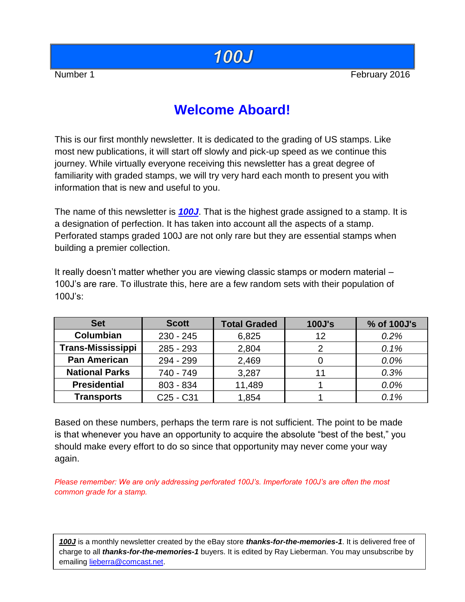# **100J**

Number 1 February 2016

# **Welcome Aboard!**

This is our first monthly newsletter. It is dedicated to the grading of US stamps. Like most new publications, it will start off slowly and pick-up speed as we continue this journey. While virtually everyone receiving this newsletter has a great degree of familiarity with graded stamps, we will try very hard each month to present you with information that is new and useful to you.

The name of this newsletter is *100J*. That is the highest grade assigned to a stamp. It is a designation of perfection. It has taken into account all the aspects of a stamp. Perforated stamps graded 100J are not only rare but they are essential stamps when building a premier collection.

It really doesn't matter whether you are viewing classic stamps or modern material – 100J's are rare. To illustrate this, here are a few random sets with their population of 100J's:

| <b>Set</b>               | <b>Scott</b>                      | <b>Total Graded</b> | <b>100J's</b> | % of 100J's |  |
|--------------------------|-----------------------------------|---------------------|---------------|-------------|--|
| <b>Columbian</b>         | $230 - 245$                       | 6,825               | 12            | 0.2%        |  |
| <b>Trans-Mississippi</b> | $285 - 293$                       | 2,804               |               | 0.1%        |  |
| <b>Pan American</b>      | 294 - 299                         | 2,469               |               | 0.0%        |  |
| <b>National Parks</b>    | 740 - 749                         | 3,287               |               | 0.3%        |  |
| <b>Presidential</b>      | $803 - 834$                       | 11,489              |               | 0.0%        |  |
| <b>Transports</b>        | C <sub>25</sub> - C <sub>31</sub> | 1,854               |               | 0.1%        |  |

Based on these numbers, perhaps the term rare is not sufficient. The point to be made is that whenever you have an opportunity to acquire the absolute "best of the best," you should make every effort to do so since that opportunity may never come your way again.

*Please remember: We are only addressing perforated 100J's. Imperforate 100J's are often the most common grade for a stamp.*

*100J* is a monthly newsletter created by the eBay store *thanks-for-the-memories-1*. It is delivered free of charge to all *thanks-for-the-memories-1* buyers. It is edited by Ray Lieberman. You may unsubscribe by emailing [lieberra@comcast.net.](mailto:lieberra@comcast.net)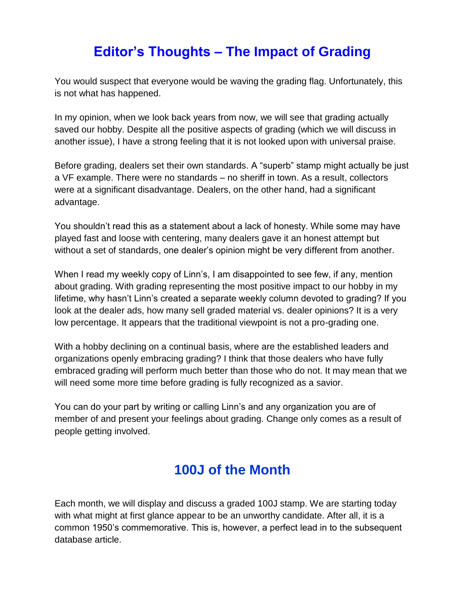# **Editor's Thoughts – The Impact of Grading**

You would suspect that everyone would be waving the grading flag. Unfortunately, this is not what has happened.

In my opinion, when we look back years from now, we will see that grading actually saved our hobby. Despite all the positive aspects of grading (which we will discuss in another issue), I have a strong feeling that it is not looked upon with universal praise.

Before grading, dealers set their own standards. A "superb" stamp might actually be just a VF example. There were no standards – no sheriff in town. As a result, collectors were at a significant disadvantage. Dealers, on the other hand, had a significant advantage.

You shouldn't read this as a statement about a lack of honesty. While some may have played fast and loose with centering, many dealers gave it an honest attempt but without a set of standards, one dealer's opinion might be very different from another.

When I read my weekly copy of Linn's, I am disappointed to see few, if any, mention about grading. With grading representing the most positive impact to our hobby in my lifetime, why hasn't Linn's created a separate weekly column devoted to grading? If you look at the dealer ads, how many sell graded material vs. dealer opinions? It is a very low percentage. It appears that the traditional viewpoint is not a pro-grading one.

With a hobby declining on a continual basis, where are the established leaders and organizations openly embracing grading? I think that those dealers who have fully embraced grading will perform much better than those who do not. It may mean that we will need some more time before grading is fully recognized as a savior.

You can do your part by writing or calling Linn's and any organization you are of member of and present your feelings about grading. Change only comes as a result of people getting involved.

#### **100J of the Month**

Each month, we will display and discuss a graded 100J stamp. We are starting today with what might at first glance appear to be an unworthy candidate. After all, it is a common 1950's commemorative. This is, however, a perfect lead in to the subsequent database article.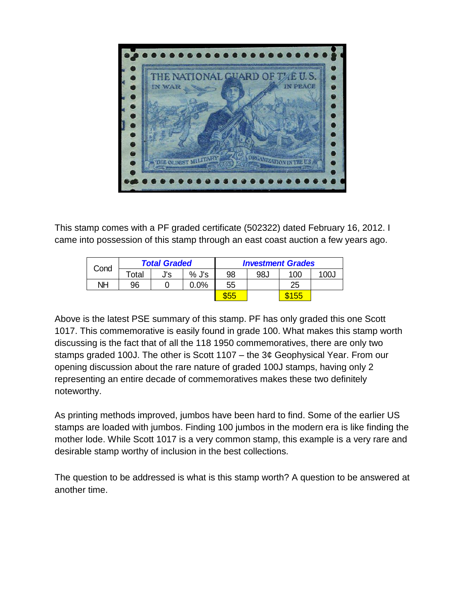

This stamp comes with a PF graded certificate (502322) dated February 16, 2012. I came into possession of this stamp through an east coast auction a few years ago.

| Cond | <b>Total Graded</b> |     |         | <b>Investment Grades</b> |     |       |      |  |  |
|------|---------------------|-----|---------|--------------------------|-----|-------|------|--|--|
|      | Total               | J's | $%$ J's | 98                       | 98J | 100   | 100J |  |  |
| NΗ   | 96                  |     | $0.0\%$ | 55                       |     | 25    |      |  |  |
|      |                     |     |         | \$55                     |     | \$155 |      |  |  |

Above is the latest PSE summary of this stamp. PF has only graded this one Scott 1017. This commemorative is easily found in grade 100. What makes this stamp worth discussing is the fact that of all the 118 1950 commemoratives, there are only two stamps graded 100J. The other is Scott 1107 – the 3¢ Geophysical Year. From our opening discussion about the rare nature of graded 100J stamps, having only 2 representing an entire decade of commemoratives makes these two definitely noteworthy.

As printing methods improved, jumbos have been hard to find. Some of the earlier US stamps are loaded with jumbos. Finding 100 jumbos in the modern era is like finding the mother lode. While Scott 1017 is a very common stamp, this example is a very rare and desirable stamp worthy of inclusion in the best collections.

The question to be addressed is what is this stamp worth? A question to be answered at another time.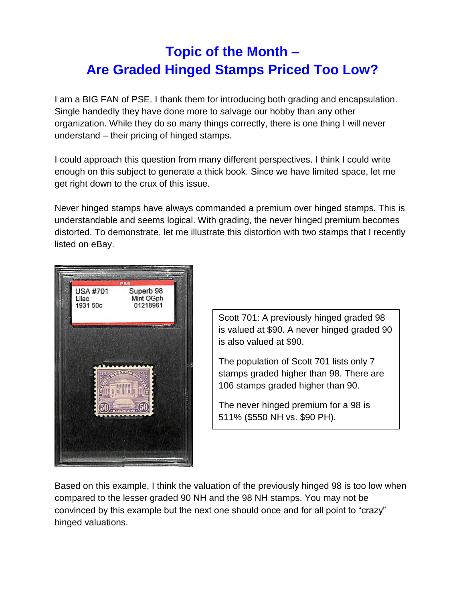# **Topic of the Month – Are Graded Hinged Stamps Priced Too Low?**

I am a BIG FAN of PSE. I thank them for introducing both grading and encapsulation. Single handedly they have done more to salvage our hobby than any other organization. While they do so many things correctly, there is one thing I will never understand – their pricing of hinged stamps.

I could approach this question from many different perspectives. I think I could write enough on this subject to generate a thick book. Since we have limited space, let me get right down to the crux of this issue.

Never hinged stamps have always commanded a premium over hinged stamps. This is understandable and seems logical. With grading, the never hinged premium becomes distorted. To demonstrate, let me illustrate this distortion with two stamps that I recently listed on eBay.



Scott 701: A previously hinged graded 98 is valued at \$90. A never hinged graded 90 is also valued at \$90.

The population of Scott 701 lists only 7 stamps graded higher than 98. There are 106 stamps graded higher than 90.

The never hinged premium for a 98 is 511% (\$550 NH vs. \$90 PH).

Based on this example, I think the valuation of the previously hinged 98 is too low when compared to the lesser graded 90 NH and the 98 NH stamps. You may not be convinced by this example but the next one should once and for all point to "crazy" hinged valuations.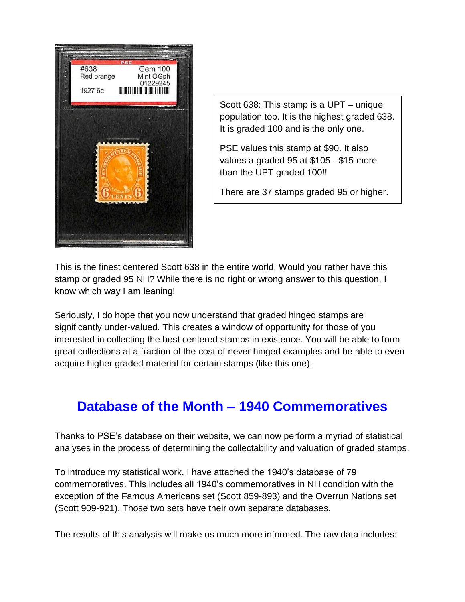

Scott 638: This stamp is a UPT – unique population top. It is the highest graded 638. It is graded 100 and is the only one.

PSE values this stamp at \$90. It also values a graded 95 at \$105 - \$15 more than the UPT graded 100!!

There are 37 stamps graded 95 or higher.

This is the finest centered Scott 638 in the entire world. Would you rather have this stamp or graded 95 NH? While there is no right or wrong answer to this question, I know which way I am leaning!

Seriously, I do hope that you now understand that graded hinged stamps are significantly under-valued. This creates a window of opportunity for those of you interested in collecting the best centered stamps in existence. You will be able to form great collections at a fraction of the cost of never hinged examples and be able to even acquire higher graded material for certain stamps (like this one).

## **Database of the Month – 1940 Commemoratives**

Thanks to PSE's database on their website, we can now perform a myriad of statistical analyses in the process of determining the collectability and valuation of graded stamps.

To introduce my statistical work, I have attached the 1940's database of 79 commemoratives. This includes all 1940's commemoratives in NH condition with the exception of the Famous Americans set (Scott 859-893) and the Overrun Nations set (Scott 909-921). Those two sets have their own separate databases.

The results of this analysis will make us much more informed. The raw data includes: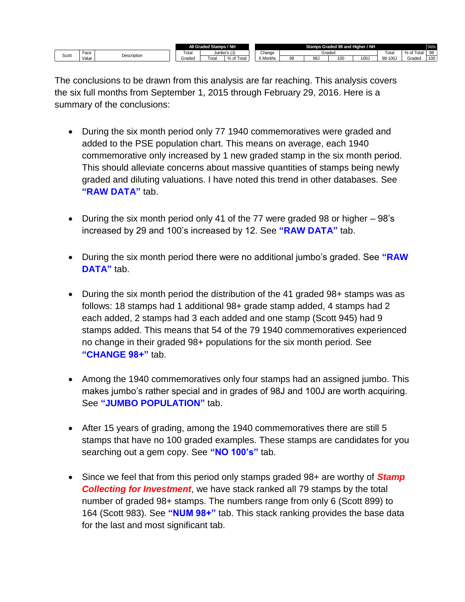|       |                     |  | All Graded Stamps / NH |             |                                                      | Stamps Graded 98 and Higher / NH |        |     |     |      |         |                 | <b>Sets</b> |
|-------|---------------------|--|------------------------|-------------|------------------------------------------------------|----------------------------------|--------|-----|-----|------|---------|-----------------|-------------|
| Scott | Face<br>Description |  | Tota                   | Jumbo's (J) |                                                      | Change                           | Graded |     |     |      | Total   | ' Total<br>% of | 98          |
|       | Value               |  | Graded                 | Tota        | $\overline{\phantom{0}}$<br>$\Omega$<br>Tota<br>% of | <sup>s</sup> Months              |        | 98, | 100 | 100. | ى98-100 | Gradec          | 100         |

The conclusions to be drawn from this analysis are far reaching. This analysis covers the six full months from September 1, 2015 through February 29, 2016. Here is a summary of the conclusions:

- During the six month period only 77 1940 commemoratives were graded and added to the PSE population chart. This means on average, each 1940 commemorative only increased by 1 new graded stamp in the six month period. This should alleviate concerns about massive quantities of stamps being newly graded and diluting valuations. I have noted this trend in other databases. See **"RAW DATA"** tab.
- During the six month period only 41 of the 77 were graded 98 or higher 98's increased by 29 and 100's increased by 12. See **"RAW DATA"** tab.
- During the six month period there were no additional jumbo's graded. See **"RAW DATA"** tab.
- During the six month period the distribution of the 41 graded 98+ stamps was as follows: 18 stamps had 1 additional 98+ grade stamp added, 4 stamps had 2 each added, 2 stamps had 3 each added and one stamp (Scott 945) had 9 stamps added. This means that 54 of the 79 1940 commemoratives experienced no change in their graded 98+ populations for the six month period. See **"CHANGE 98+"** tab.
- Among the 1940 commemoratives only four stamps had an assigned jumbo. This makes jumbo's rather special and in grades of 98J and 100J are worth acquiring. See **"JUMBO POPULATION"** tab.
- After 15 years of grading, among the 1940 commemoratives there are still 5 stamps that have no 100 graded examples. These stamps are candidates for you searching out a gem copy. See **"NO 100's"** tab.
- Since we feel that from this period only stamps graded 98+ are worthy of *Stamp Collecting for Investment*, we have stack ranked all 79 stamps by the total number of graded 98+ stamps. The numbers range from only 6 (Scott 899) to 164 (Scott 983). See **"NUM 98+"** tab. This stack ranking provides the base data for the last and most significant tab.